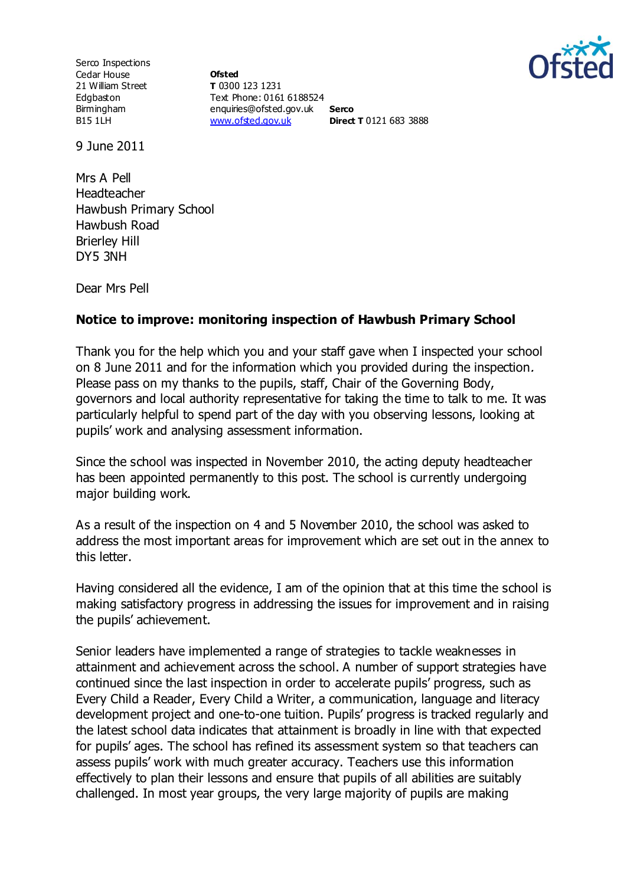

Serco Inspections Cedar House 21 William Street Edgbaston Birmingham B15 1LH

**Ofsted T** 0300 123 1231 Text Phone: 0161 6188524 enquiries@ofsted.gov.uk **Serco** [www.ofsted.gov.uk](http://www.ofsted.gov.uk/) **Direct T** 0121 683 3888

9 June 2011

Mrs A Pell Headteacher Hawbush Primary School Hawbush Road Brierley Hill DY5 3NH

Dear Mrs Pell

## **Notice to improve: monitoring inspection of Hawbush Primary School**

Thank you for the help which you and your staff gave when I inspected your school on 8 June 2011 and for the information which you provided during the inspection. Please pass on my thanks to the pupils, staff, Chair of the Governing Body, governors and local authority representative for taking the time to talk to me. It was particularly helpful to spend part of the day with you observing lessons, looking at pupils' work and analysing assessment information.

Since the school was inspected in November 2010, the acting deputy headteacher has been appointed permanently to this post. The school is currently undergoing major building work.

As a result of the inspection on 4 and 5 November 2010, the school was asked to address the most important areas for improvement which are set out in the annex to this letter.

Having considered all the evidence, I am of the opinion that at this time the school is making satisfactory progress in addressing the issues for improvement and in raising the pupils' achievement.

Senior leaders have implemented a range of strategies to tackle weaknesses in attainment and achievement across the school. A number of support strategies have continued since the last inspection in order to accelerate pupils' progress, such as Every Child a Reader, Every Child a Writer, a communication, language and literacy development project and one-to-one tuition. Pupils' progress is tracked regularly and the latest school data indicates that attainment is broadly in line with that expected for pupils' ages. The school has refined its assessment system so that teachers can assess pupils' work with much greater accuracy. Teachers use this information effectively to plan their lessons and ensure that pupils of all abilities are suitably challenged. In most year groups, the very large majority of pupils are making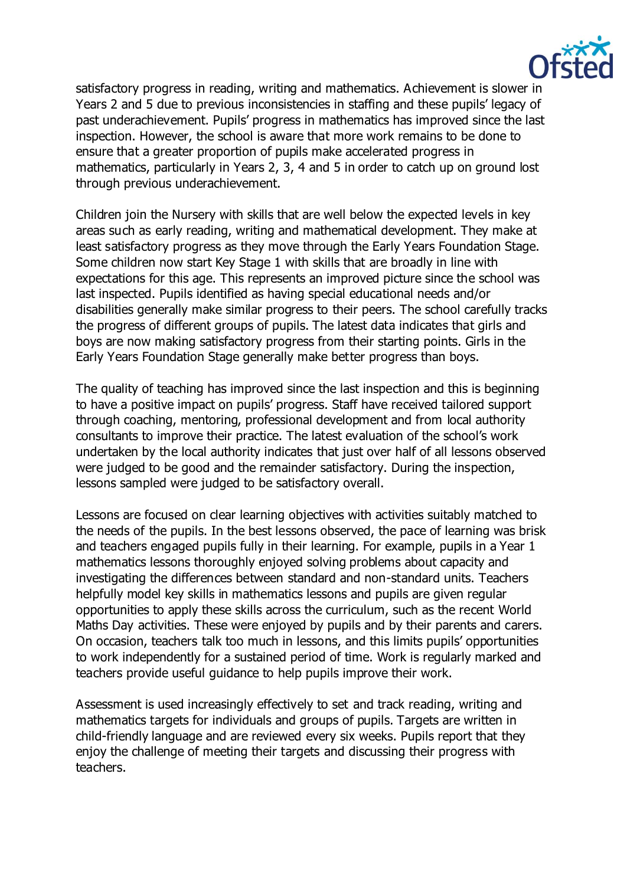

satisfactory progress in reading, writing and mathematics. Achievement is slower in Years 2 and 5 due to previous inconsistencies in staffing and these pupils' legacy of past underachievement. Pupils' progress in mathematics has improved since the last inspection. However, the school is aware that more work remains to be done to ensure that a greater proportion of pupils make accelerated progress in mathematics, particularly in Years 2, 3, 4 and 5 in order to catch up on ground lost through previous underachievement.

Children join the Nursery with skills that are well below the expected levels in key areas such as early reading, writing and mathematical development. They make at least satisfactory progress as they move through the Early Years Foundation Stage. Some children now start Key Stage 1 with skills that are broadly in line with expectations for this age. This represents an improved picture since the school was last inspected. Pupils identified as having special educational needs and/or disabilities generally make similar progress to their peers. The school carefully tracks the progress of different groups of pupils. The latest data indicates that girls and boys are now making satisfactory progress from their starting points. Girls in the Early Years Foundation Stage generally make better progress than boys.

The quality of teaching has improved since the last inspection and this is beginning to have a positive impact on pupils' progress. Staff have received tailored support through coaching, mentoring, professional development and from local authority consultants to improve their practice. The latest evaluation of the school's work undertaken by the local authority indicates that just over half of all lessons observed were judged to be good and the remainder satisfactory. During the inspection, lessons sampled were judged to be satisfactory overall.

Lessons are focused on clear learning objectives with activities suitably matched to the needs of the pupils. In the best lessons observed, the pace of learning was brisk and teachers engaged pupils fully in their learning. For example, pupils in a Year 1 mathematics lessons thoroughly enjoyed solving problems about capacity and investigating the differences between standard and non-standard units. Teachers helpfully model key skills in mathematics lessons and pupils are given regular opportunities to apply these skills across the curriculum, such as the recent World Maths Day activities. These were enjoyed by pupils and by their parents and carers. On occasion, teachers talk too much in lessons, and this limits pupils' opportunities to work independently for a sustained period of time. Work is regularly marked and teachers provide useful guidance to help pupils improve their work.

Assessment is used increasingly effectively to set and track reading, writing and mathematics targets for individuals and groups of pupils. Targets are written in child-friendly language and are reviewed every six weeks. Pupils report that they enjoy the challenge of meeting their targets and discussing their progress with teachers.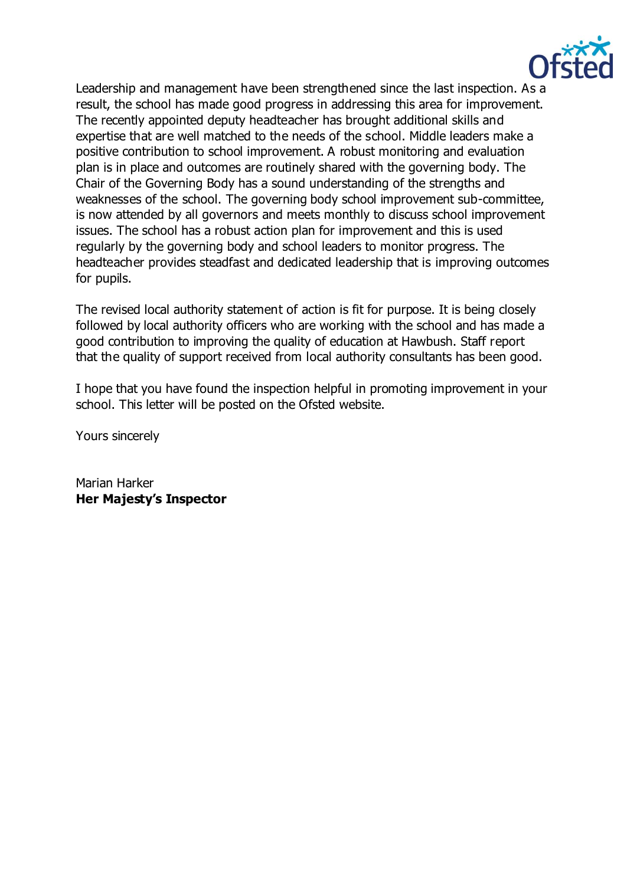

Leadership and management have been strengthened since the last inspection. As a result, the school has made good progress in addressing this area for improvement. The recently appointed deputy headteacher has brought additional skills and expertise that are well matched to the needs of the school. Middle leaders make a positive contribution to school improvement. A robust monitoring and evaluation plan is in place and outcomes are routinely shared with the governing body. The Chair of the Governing Body has a sound understanding of the strengths and weaknesses of the school. The governing body school improvement sub-committee, is now attended by all governors and meets monthly to discuss school improvement issues. The school has a robust action plan for improvement and this is used regularly by the governing body and school leaders to monitor progress. The headteacher provides steadfast and dedicated leadership that is improving outcomes for pupils.

The revised local authority statement of action is fit for purpose. It is being closely followed by local authority officers who are working with the school and has made a good contribution to improving the quality of education at Hawbush. Staff report that the quality of support received from local authority consultants has been good.

I hope that you have found the inspection helpful in promoting improvement in your school. This letter will be posted on the Ofsted website.

Yours sincerely

Marian Harker **Her Majesty's Inspector**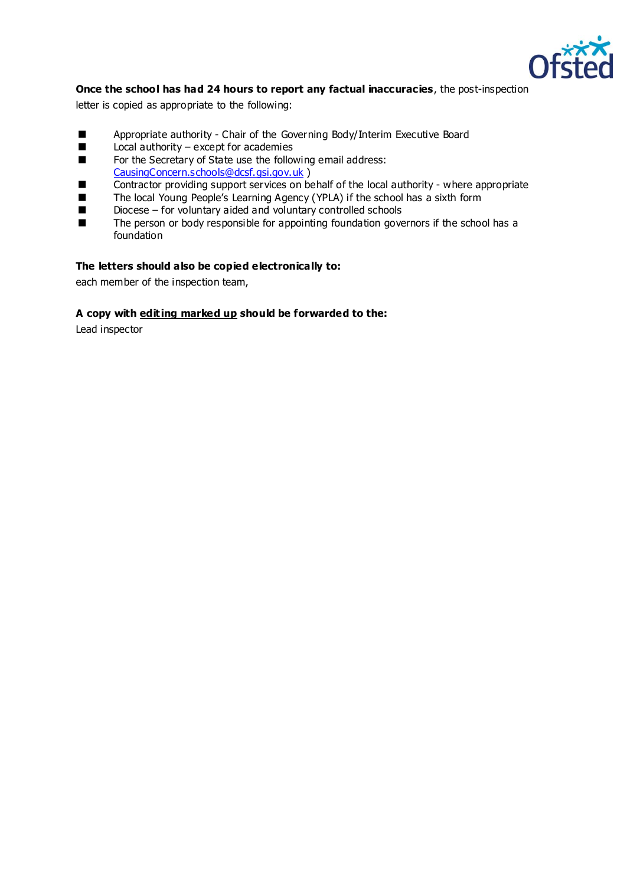

### **Once the school has had 24 hours to report any factual inaccuracies**, the post-inspection

letter is copied as appropriate to the following:

- Appropriate authority Chair of the Governing Body/Interim Executive Board<br>  $\Box$  I ocal authority except for academies
- Local authority except for academies
- For the Secretary of State use the following email address: [CausingConcern.schools@dcsf.gsi.gov.uk](mailto:CausingConcern.schools@dcsf.gsi.gov.uk) )
- Contractor providing support services on behalf of the local authority where appropriate
- The local Young People's Learning Agency (YPLA) if the school has a sixth form<br>■ Diocese for voluntary aided and voluntary controlled schools
- $\blacksquare$  Diocese for voluntary aided and voluntary controlled schools<br> $\blacksquare$  The person or body responsible for appointing foundation govern-
- The person or body responsible for appointing foundation governors if the school has a foundation

#### **The letters should also be copied electronically to:**

each member of the inspection team,

#### **A copy with editing marked up should be forwarded to the:**

Lead inspector